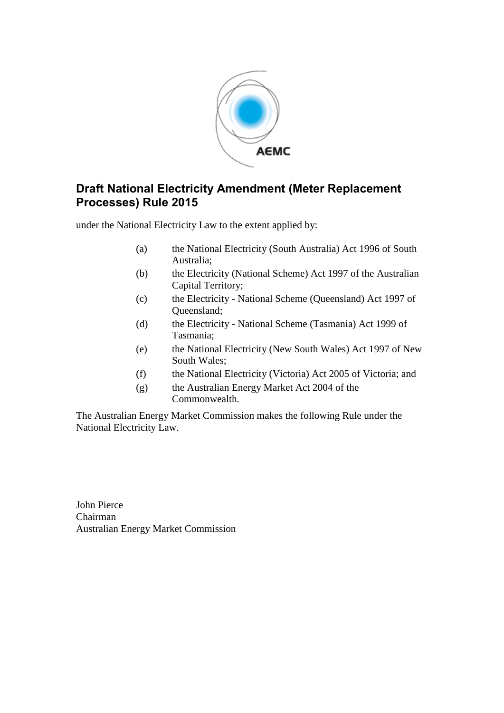

# **Draft National Electricity Amendment (Meter Replacement Processes) Rule 2015**

under the National Electricity Law to the extent applied by:

- (a) the National Electricity (South Australia) Act 1996 of South Australia;
- (b) the Electricity (National Scheme) Act 1997 of the Australian Capital Territory;
- (c) the Electricity National Scheme (Queensland) Act 1997 of Queensland;
- (d) the Electricity National Scheme (Tasmania) Act 1999 of Tasmania;
- (e) the National Electricity (New South Wales) Act 1997 of New South Wales;
- (f) the National Electricity (Victoria) Act 2005 of Victoria; and
- (g) the Australian Energy Market Act 2004 of the Commonwealth.

The Australian Energy Market Commission makes the following Rule under the National Electricity Law.

John Pierce Chairman Australian Energy Market Commission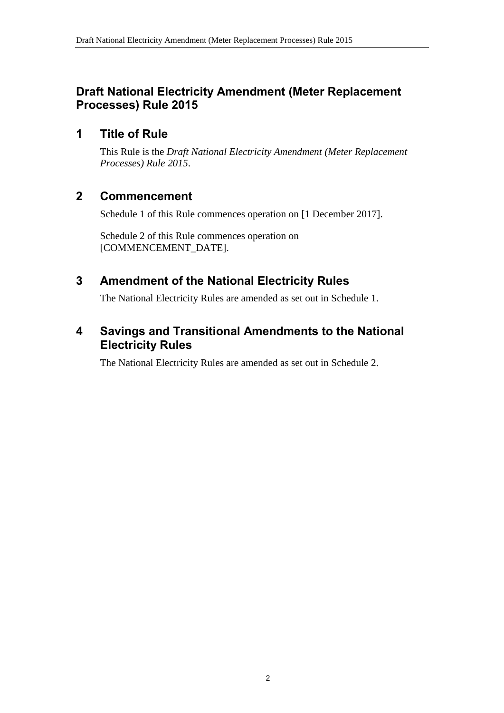# **Draft National Electricity Amendment (Meter Replacement Processes) Rule 2015**

### **1 Title of Rule**

This Rule is the *Draft National Electricity Amendment (Meter Replacement Processes) Rule 2015*.

# **2 Commencement**

Schedule 1 of this Rule commences operation on [1 December 2017].

Schedule 2 of this Rule commences operation on [COMMENCEMENT\_DATE].

# <span id="page-1-0"></span>**3 Amendment of the National Electricity Rules**

The National Electricity Rules are amended as set out in [Schedule 1.](#page-2-0)

## <span id="page-1-1"></span>**4 Savings and Transitional Amendments to the National Electricity Rules**

The National Electricity Rules are amended as set out in [Schedule 2.](#page-3-0)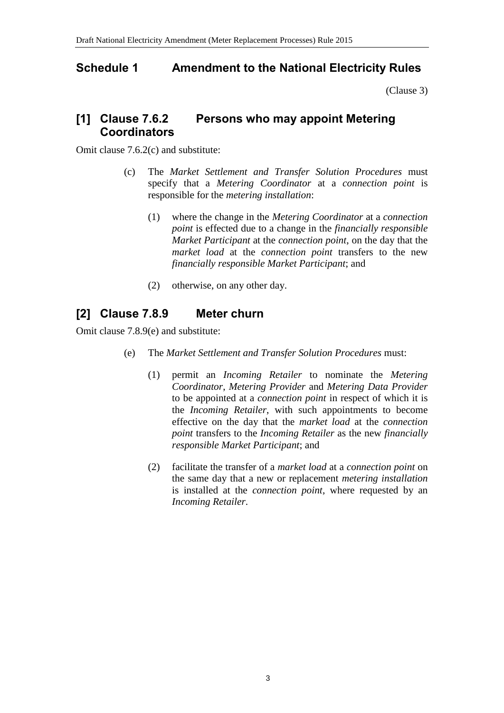# <span id="page-2-0"></span>**Schedule 1 Amendment to the National Electricity Rules**

[\(Clause 3\)](#page-1-0)

# **[1] Clause 7.6.2 Persons who may appoint Metering Coordinators**

Omit clause 7.6.2(c) and substitute:

- (c) The *Market Settlement and Transfer Solution Procedures* must specify that a *Metering Coordinator* at a *connection point* is responsible for the *metering installation*:
	- (1) where the change in the *Metering Coordinator* at a *connection point* is effected due to a change in the *financially responsible Market Participant* at the *connection point*, on the day that the *market load* at the *connection point* transfers to the new *financially responsible Market Participant*; and
	- (2) otherwise, on any other day.

# **[2] Clause 7.8.9 Meter churn**

Omit clause 7.8.9(e) and substitute:

- (e) The *Market Settlement and Transfer Solution Procedures* must:
	- (1) permit an *Incoming Retailer* to nominate the *Metering Coordinator*, *Metering Provider* and *Metering Data Provider* to be appointed at a *connection point* in respect of which it is the *Incoming Retailer*, with such appointments to become effective on the day that the *market load* at the *connection point* transfers to the *Incoming Retailer* as the new *financially responsible Market Participant*; and
	- (2) facilitate the transfer of a *market load* at a *connection point* on the same day that a new or replacement *metering installation* is installed at the *connection point*, where requested by an *Incoming Retailer*.